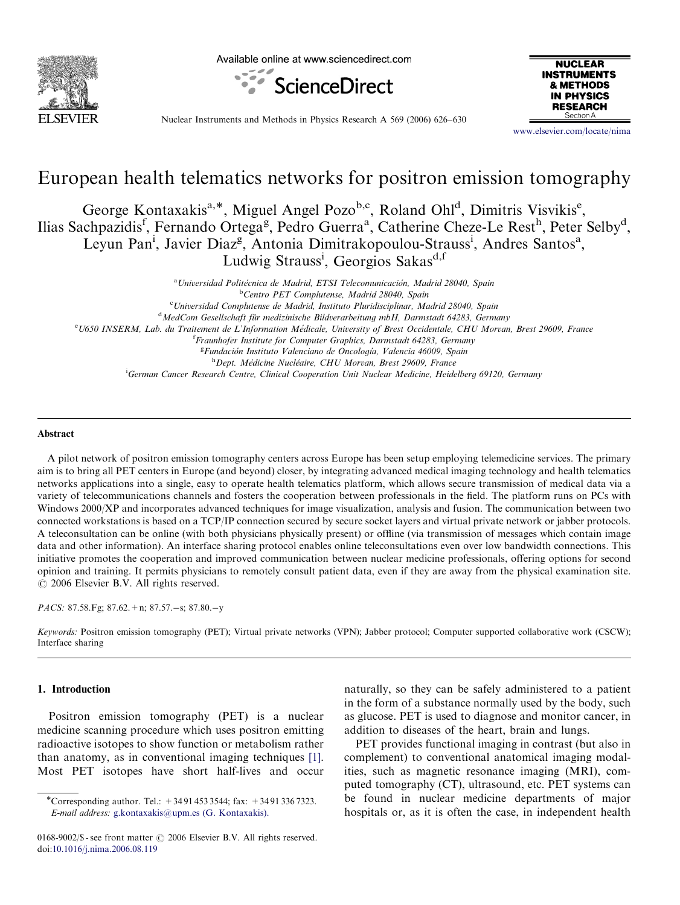

Available online at www.sciencedirect.com





Nuclear Instruments and Methods in Physics Research A 569 (2006) 626–630

<www.elsevier.com/locate/nima>

# European health telematics networks for positron emission tomography

George Kontaxakis<sup>a,\*</sup>, Miguel Angel Pozo<sup>b,c</sup>, Roland Ohl<sup>d</sup>, Dimitris Visvikis<sup>e</sup>, Ilias Sachpazidis<sup>f</sup>, Fernando Ortega<sup>g</sup>, Pedro Guerra<sup>a</sup>, Catherine Cheze-Le Rest<sup>h</sup>, Peter Selby<sup>d</sup>, Leyun Pan<sup>i</sup>, Javier Diaz<sup>g</sup>, Antonia Dimitrakopoulou-Strauss<sup>i</sup>, Andres Santos<sup>a</sup>, Ludwig Strauss<sup>i</sup>, Georgios Sakas<sup>d,f</sup>

<sup>a</sup> Universidad Politécnica de Madrid, ETSI Telecomunicación, Madrid 28040, Spain <sup>b</sup>Centro PET Complutense, Madrid 28040, Spain <sup>c</sup>Universidad Complutense de Madrid, Instituto Pluridisciplinar, Madrid 28040, Spain d MedCom Gesellschaft für medizinische Bildverarbeitung mbH, Darmstadt 64283, Germany<br>ELI650 INSERM Lab du Traitement de L'Information Médicale University of Brest Occidentale CHU Morvar <sup>e</sup> U650 INSERM, Lab. du Traitement de L'Information Médicale, University of Brest Occidentale, CHU Morvan, Brest 29609, France <sup>f</sup> Fraunhofer Institute for Computer Graphics, Darmstadt 64283, Germany <sup>g</sup> Fundación Instituto Valenciano de Oncología, Valencia 46009, Spain <sup>h</sup>Dept. Médicine Nucléaire, CHU Morvan, Brest 29609, France i German Cancer Research Centre, Clinical Cooperation Unit Nuclear Medicine, Heidelberg 69120, Germany

#### Abstract

A pilot network of positron emission tomography centers across Europe has been setup employing telemedicine services. The primary aim is to bring all PET centers in Europe (and beyond) closer, by integrating advanced medical imaging technology and health telematics networks applications into a single, easy to operate health telematics platform, which allows secure transmission of medical data via a variety of telecommunications channels and fosters the cooperation between professionals in the field. The platform runs on PCs with Windows 2000/XP and incorporates advanced techniques for image visualization, analysis and fusion. The communication between two connected workstations is based on a TCP/IP connection secured by secure socket layers and virtual private network or jabber protocols. A teleconsultation can be online (with both physicians physically present) or offline (via transmission of messages which contain image data and other information). An interface sharing protocol enables online teleconsultations even over low bandwidth connections. This initiative promotes the cooperation and improved communication between nuclear medicine professionals, offering options for second opinion and training. It permits physicians to remotely consult patient data, even if they are away from the physical examination site.  $\odot$  2006 Elsevier B.V. All rights reserved.

PACS: 87.58.Fg; 87.62. + n; 87.57. - s; 87.80. - y

Keywords: Positron emission tomography (PET); Virtual private networks (VPN); Jabber protocol; Computer supported collaborative work (CSCW); Interface sharing

#### 1. Introduction

Positron emission tomography (PET) is a nuclear medicine scanning procedure which uses positron emitting radioactive isotopes to show function or metabolism rather than anatomy, as in conventional imaging techniques [\[1\]](#page-4-0). Most PET isotopes have short half-lives and occur

naturally, so they can be safely administered to a patient in the form of a substance normally used by the body, such as glucose. PET is used to diagnose and monitor cancer, in addition to diseases of the heart, brain and lungs.

PET provides functional imaging in contrast (but also in complement) to conventional anatomical imaging modalities, such as magnetic resonance imaging (MRI), computed tomography (CT), ultrasound, etc. PET systems can be found in nuclear medicine departments of major hospitals or, as it is often the case, in independent health

<sup>\*</sup>Corresponding author. Tel.: +3491 453 3544; fax: +3491 336 7323. E-mail address: [g.kontaxakis@upm.es \(G. Kontaxakis\).](mailto:g.kontaxakis@upm.es)

<sup>0168-9002/\$ -</sup> see front matter  $\odot$  2006 Elsevier B.V. All rights reserved. doi:[10.1016/j.nima.2006.08.119](dx.doi.org/10.1016/j.nima.2006.08.119)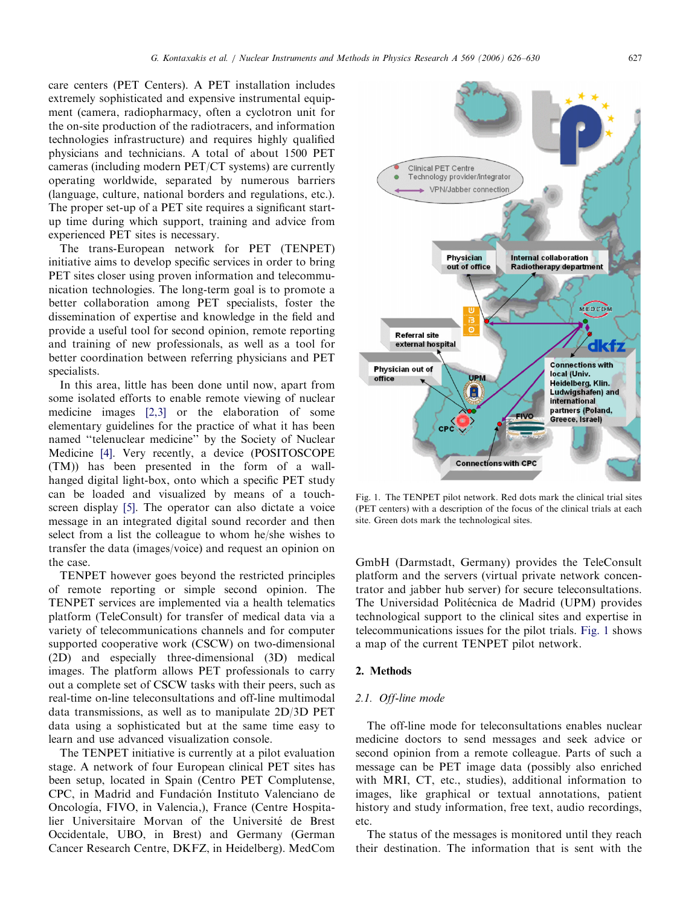care centers (PET Centers). A PET installation includes extremely sophisticated and expensive instrumental equipment (camera, radiopharmacy, often a cyclotron unit for the on-site production of the radiotracers, and information technologies infrastructure) and requires highly qualified physicians and technicians. A total of about 1500 PET cameras (including modern PET/CT systems) are currently operating worldwide, separated by numerous barriers (language, culture, national borders and regulations, etc.). The proper set-up of a PET site requires a significant startup time during which support, training and advice from experienced PET sites is necessary.

The trans-European network for PET (TENPET) initiative aims to develop specific services in order to bring PET sites closer using proven information and telecommunication technologies. The long-term goal is to promote a better collaboration among PET specialists, foster the dissemination of expertise and knowledge in the field and provide a useful tool for second opinion, remote reporting and training of new professionals, as well as a tool for better coordination between referring physicians and PET specialists.

In this area, little has been done until now, apart from some isolated efforts to enable remote viewing of nuclear medicine images [\[2,3\]](#page-4-0) or the elaboration of some elementary guidelines for the practice of what it has been named ''telenuclear medicine'' by the Society of Nuclear Medicine [\[4\]](#page-4-0). Very recently, a device (POSITOSCOPE (TM)) has been presented in the form of a wallhanged digital light-box, onto which a specific PET study can be loaded and visualized by means of a touchscreen display [\[5\]](#page-4-0). The operator can also dictate a voice message in an integrated digital sound recorder and then select from a list the colleague to whom he/she wishes to transfer the data (images/voice) and request an opinion on the case.

TENPET however goes beyond the restricted principles of remote reporting or simple second opinion. The TENPET services are implemented via a health telematics platform (TeleConsult) for transfer of medical data via a variety of telecommunications channels and for computer supported cooperative work (CSCW) on two-dimensional (2D) and especially three-dimensional (3D) medical images. The platform allows PET professionals to carry out a complete set of CSCW tasks with their peers, such as real-time on-line teleconsultations and off-line multimodal data transmissions, as well as to manipulate 2D/3D PET data using a sophisticated but at the same time easy to learn and use advanced visualization console.

The TENPET initiative is currently at a pilot evaluation stage. A network of four European clinical PET sites has been setup, located in Spain (Centro PET Complutense, CPC, in Madrid and Fundación Instituto Valenciano de Oncología, FIVO, in Valencia,), France (Centre Hospitalier Universitaire Morvan of the Université de Brest Occidentale, UBO, in Brest) and Germany (German Cancer Research Centre, DKFZ, in Heidelberg). MedCom



Fig. 1. The TENPET pilot network. Red dots mark the clinical trial sites (PET centers) with a description of the focus of the clinical trials at each site. Green dots mark the technological sites.

GmbH (Darmstadt, Germany) provides the TeleConsult platform and the servers (virtual private network concentrator and jabber hub server) for secure teleconsultations. The Universidad Politécnica de Madrid (UPM) provides technological support to the clinical sites and expertise in telecommunications issues for the pilot trials. Fig. 1 shows a map of the current TENPET pilot network.

#### 2. Methods

# 2.1. Off-line mode

The off-line mode for teleconsultations enables nuclear medicine doctors to send messages and seek advice or second opinion from a remote colleague. Parts of such a message can be PET image data (possibly also enriched with MRI, CT, etc., studies), additional information to images, like graphical or textual annotations, patient history and study information, free text, audio recordings, etc.

The status of the messages is monitored until they reach their destination. The information that is sent with the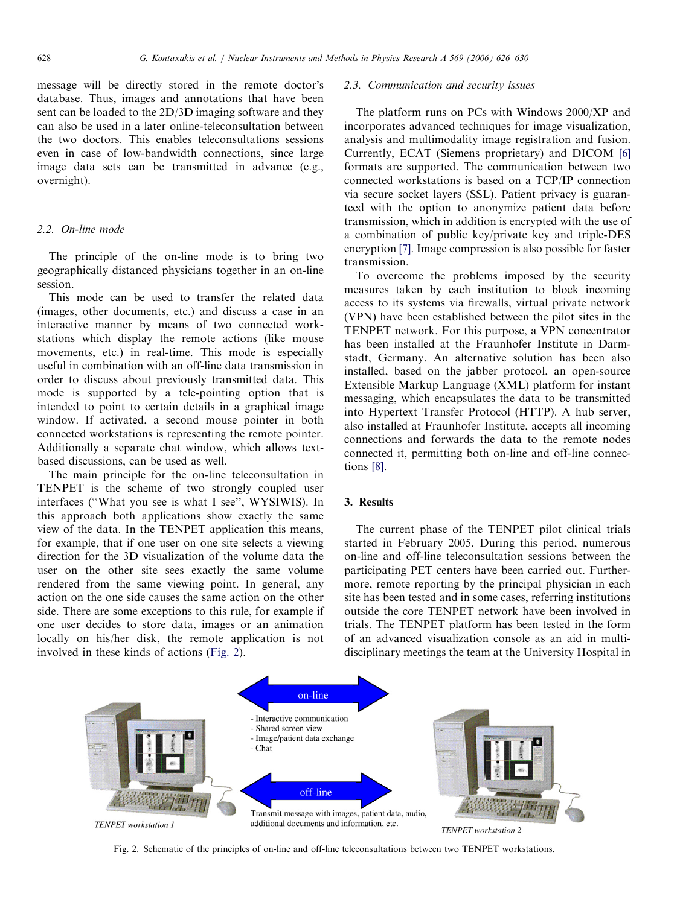message will be directly stored in the remote doctor's database. Thus, images and annotations that have been sent can be loaded to the 2D/3D imaging software and they can also be used in a later online-teleconsultation between the two doctors. This enables teleconsultations sessions even in case of low-bandwidth connections, since large image data sets can be transmitted in advance (e.g., overnight).

# 2.2. On-line mode

The principle of the on-line mode is to bring two geographically distanced physicians together in an on-line session.

This mode can be used to transfer the related data (images, other documents, etc.) and discuss a case in an interactive manner by means of two connected workstations which display the remote actions (like mouse movements, etc.) in real-time. This mode is especially useful in combination with an off-line data transmission in order to discuss about previously transmitted data. This mode is supported by a tele-pointing option that is intended to point to certain details in a graphical image window. If activated, a second mouse pointer in both connected workstations is representing the remote pointer. Additionally a separate chat window, which allows textbased discussions, can be used as well.

The main principle for the on-line teleconsultation in TENPET is the scheme of two strongly coupled user interfaces (''What you see is what I see'', WYSIWIS). In this approach both applications show exactly the same view of the data. In the TENPET application this means, for example, that if one user on one site selects a viewing direction for the 3D visualization of the volume data the user on the other site sees exactly the same volume rendered from the same viewing point. In general, any action on the one side causes the same action on the other side. There are some exceptions to this rule, for example if one user decides to store data, images or an animation locally on his/her disk, the remote application is not involved in these kinds of actions (Fig. 2).

#### 2.3. Communication and security issues

The platform runs on PCs with Windows 2000/XP and incorporates advanced techniques for image visualization, analysis and multimodality image registration and fusion. Currently, ECAT (Siemens proprietary) and DICOM [\[6\]](#page-4-0) formats are supported. The communication between two connected workstations is based on a TCP/IP connection via secure socket layers (SSL). Patient privacy is guaranteed with the option to anonymize patient data before transmission, which in addition is encrypted with the use of a combination of public key/private key and triple-DES encryption [\[7\]](#page-4-0). Image compression is also possible for faster transmission.

To overcome the problems imposed by the security measures taken by each institution to block incoming access to its systems via firewalls, virtual private network (VPN) have been established between the pilot sites in the TENPET network. For this purpose, a VPN concentrator has been installed at the Fraunhofer Institute in Darmstadt, Germany. An alternative solution has been also installed, based on the jabber protocol, an open-source Extensible Markup Language (XML) platform for instant messaging, which encapsulates the data to be transmitted into Hypertext Transfer Protocol (HTTP). A hub server, also installed at Fraunhofer Institute, accepts all incoming connections and forwards the data to the remote nodes connected it, permitting both on-line and off-line connections [\[8\]](#page-4-0).

# 3. Results

The current phase of the TENPET pilot clinical trials started in February 2005. During this period, numerous on-line and off-line teleconsultation sessions between the participating PET centers have been carried out. Furthermore, remote reporting by the principal physician in each site has been tested and in some cases, referring institutions outside the core TENPET network have been involved in trials. The TENPET platform has been tested in the form of an advanced visualization console as an aid in multidisciplinary meetings the team at the University Hospital in



Fig. 2. Schematic of the principles of on-line and off-line teleconsultations between two TENPET workstations.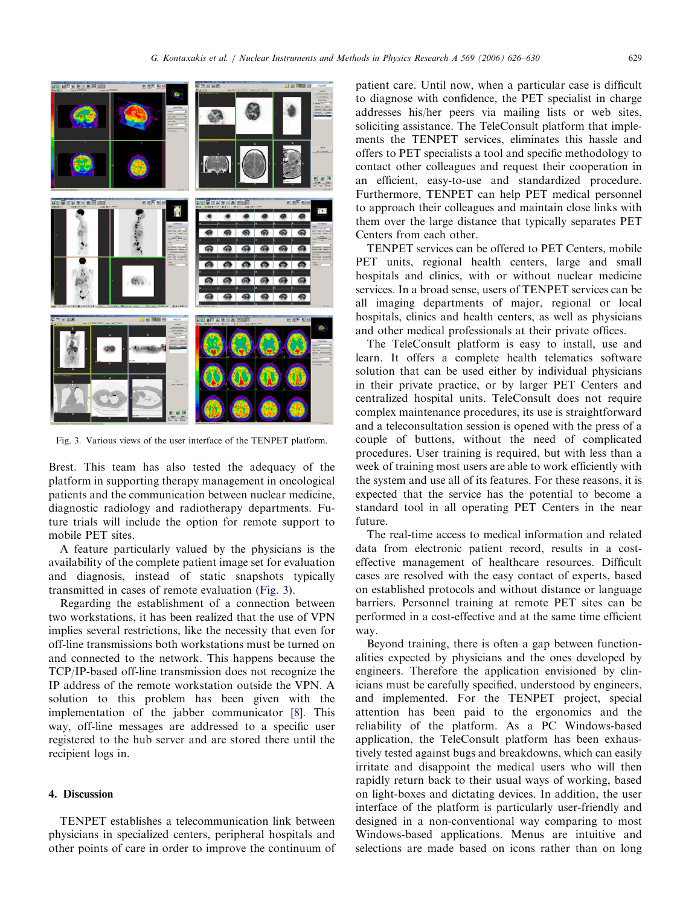

Fig. 3. Various views of the user interface of the TENPET platform.

Brest. This team has also tested the adequacy of the platform in supporting therapy management in oncological patients and the communication between nuclear medicine, diagnostic radiology and radiotherapy departments. Future trials will include the option for remote support to mobile PET sites.

A feature particularly valued by the physicians is the availability of the complete patient image set for evaluation and diagnosis, instead of static snapshots typically transmitted in cases of remote evaluation (Fig. 3).

Regarding the establishment of a connection between two workstations, it has been realized that the use of VPN implies several restrictions, like the necessity that even for off-line transmissions both workstations must be turned on and connected to the network. This happens because the TCP/IP-based off-line transmission does not recognize the IP address of the remote workstation outside the VPN. A solution to this problem has been given with the implementation of the jabber communicator [\[8\]](#page-4-0). This way, off-line messages are addressed to a specific user registered to the hub server and are stored there until the recipient logs in.

# 4. Discussion

TENPET establishes a telecommunication link between physicians in specialized centers, peripheral hospitals and other points of care in order to improve the continuum of patient care. Until now, when a particular case is difficult to diagnose with confidence, the PET specialist in charge addresses his/her peers via mailing lists or web sites, soliciting assistance. The TeleConsult platform that implements the TENPET services, eliminates this hassle and offers to PET specialists a tool and specific methodology to contact other colleagues and request their cooperation in an efficient, easy-to-use and standardized procedure. Furthermore, TENPET can help PET medical personnel to approach their colleagues and maintain close links with them over the large distance that typically separates PET Centers from each other.

TENPET services can be offered to PET Centers, mobile PET units, regional health centers, large and small hospitals and clinics, with or without nuclear medicine services. In a broad sense, users of TENPET services can be all imaging departments of major, regional or local hospitals, clinics and health centers, as well as physicians and other medical professionals at their private offices.

The TeleConsult platform is easy to install, use and learn. It offers a complete health telematics software solution that can be used either by individual physicians in their private practice, or by larger PET Centers and centralized hospital units. TeleConsult does not require complex maintenance procedures, its use is straightforward and a teleconsultation session is opened with the press of a couple of buttons, without the need of complicated procedures. User training is required, but with less than a week of training most users are able to work efficiently with the system and use all of its features. For these reasons, it is expected that the service has the potential to become a standard tool in all operating PET Centers in the near future.

The real-time access to medical information and related data from electronic patient record, results in a costeffective management of healthcare resources. Difficult cases are resolved with the easy contact of experts, based on established protocols and without distance or language barriers. Personnel training at remote PET sites can be performed in a cost-effective and at the same time efficient way.

Beyond training, there is often a gap between functionalities expected by physicians and the ones developed by engineers. Therefore the application envisioned by clinicians must be carefully specified, understood by engineers, and implemented. For the TENPET project, special attention has been paid to the ergonomics and the reliability of the platform. As a PC Windows-based application, the TeleConsult platform has been exhaustively tested against bugs and breakdowns, which can easily irritate and disappoint the medical users who will then rapidly return back to their usual ways of working, based on light-boxes and dictating devices. In addition, the user interface of the platform is particularly user-friendly and designed in a non-conventional way comparing to most Windows-based applications. Menus are intuitive and selections are made based on icons rather than on long